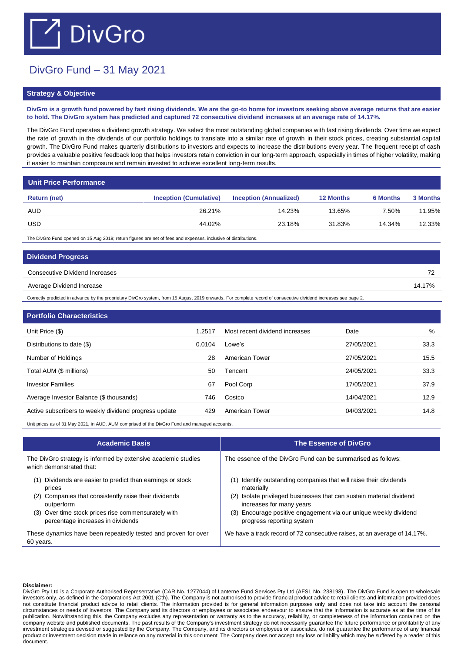## $\bigcap$  DivGro

## DivGro Fund – 31 May 2021

## **Strategy & Objective**

**DivGro is a growth fund powered by fast rising dividends. We are the go-to home for investors seeking above average returns that are easier to hold. The DivGro system has predicted and captured 72 consecutive dividend increases at an average rate of 14.17%.** 

The DivGro Fund operates a dividend growth strategy. We select the most outstanding global companies with fast rising dividends. Over time we expect the rate of growth in the dividends of our portfolio holdings to translate into a similar rate of growth in their stock prices, creating substantial capital growth. The DivGro Fund makes quarterly distributions to investors and expects to increase the distributions every year. The frequent receipt of cash provides a valuable positive feedback loop that helps investors retain conviction in our long-term approach, especially in times of higher volatility, making it easier to maintain composure and remain invested to achieve excellent long-term results.

| <b>Unit Price Performance</b> |                               |                               |                  |                 |          |
|-------------------------------|-------------------------------|-------------------------------|------------------|-----------------|----------|
| Return (net)                  | <b>Inception (Cumulative)</b> | <b>Inception (Annualized)</b> | <b>12 Months</b> | <b>6 Months</b> | 3 Months |
| <b>AUD</b>                    | 26.21%                        | 14.23%                        | 13.65%           | 7.50%           | 11.95%   |
| <b>USD</b>                    | 44.02%                        | 23.18%                        | 31.83%           | 14.34%          | 12.33%   |
|                               |                               |                               |                  |                 |          |

The DivGro Fund opened on 15 Aug 2019; return figures are net of fees and expenses, inclusive of distributions.

| <b>Dividend Progress</b>       |        |
|--------------------------------|--------|
| Consecutive Dividend Increases | 72     |
| Average Dividend Increase      | 14.17% |

Correctly predicted in advance by the proprietary DivGro system, from 15 August 2019 onwards. For complete record of consecutive dividend increases see page 2.

| 1.2517 | Most recent dividend increases | Date       | %    |
|--------|--------------------------------|------------|------|
| 0.0104 | Lowe's                         | 27/05/2021 | 33.3 |
| 28     | American Tower                 | 27/05/2021 | 15.5 |
| 50     | Tencent                        | 24/05/2021 | 33.3 |
| 67     | Pool Corp                      | 17/05/2021 | 37.9 |
| 746    | Costco                         | 14/04/2021 | 12.9 |
| 429    | American Tower                 | 04/03/2021 | 14.8 |
|        |                                |            |      |

Unit prices as of 31 May 2021, in AUD. AUM comprised of the DivGro Fund and managed accounts.

| <b>Academic Basis</b>                                                                                                                                                                                                                         | <b>The Essence of DivGro</b>                                                                                                                                                                                                                                                             |
|-----------------------------------------------------------------------------------------------------------------------------------------------------------------------------------------------------------------------------------------------|------------------------------------------------------------------------------------------------------------------------------------------------------------------------------------------------------------------------------------------------------------------------------------------|
| The DivGro strategy is informed by extensive academic studies<br>which demonstrated that:                                                                                                                                                     | The essence of the DivGro Fund can be summarised as follows:                                                                                                                                                                                                                             |
| Dividends are easier to predict than earnings or stock<br>(1)<br>prices<br>Companies that consistently raise their dividends<br>(2)<br>outperform<br>(3) Over time stock prices rise commensurately with<br>percentage increases in dividends | (1) Identify outstanding companies that will raise their dividends<br>materially<br>Isolate privileged businesses that can sustain material dividend<br>(2)<br>increases for many years<br>(3) Encourage positive engagement via our unique weekly dividend<br>progress reporting system |
| These dynamics have been repeatedly tested and proven for over<br>60 years.                                                                                                                                                                   | We have a track record of 72 consecutive raises, at an average of 14.17%.                                                                                                                                                                                                                |

## **Disclaimer:**

DivGro Pty Ltd is a Corporate Authorised Representative (CAR No. 1277044) of Lanterne Fund Services Pty Ltd (AFSL No. 238198). The DivGro Fund is open to wholesale investors only, as defined in the Corporations Act 2001 (Cth). The Company is not authorised to provide financial product advice to retail clients and information provided does not constitute financial product advice to retail clients. The information provided is for general information purposes only and does not take into account the personal circumstances or needs of investors. The Company and its directors or employees or associates endeavour to ensure that the information is accurate as at the time of its publication. Notwithstanding this, the Company excludes any representation or warranty as to the accuracy, reliability, or completeness of the information contained on the company website and published documents. The past results of the Company's investment strategy do not necessarily guarantee the future performance or profitability of any investment strategies devised or suggested by the Company. The Company, and its directors or employees or associates, do not guarantee the performance of any financial product or investment decision made in reliance on any material in this document. The Company does not accept any loss or liability which may be suffered by a reader of this document.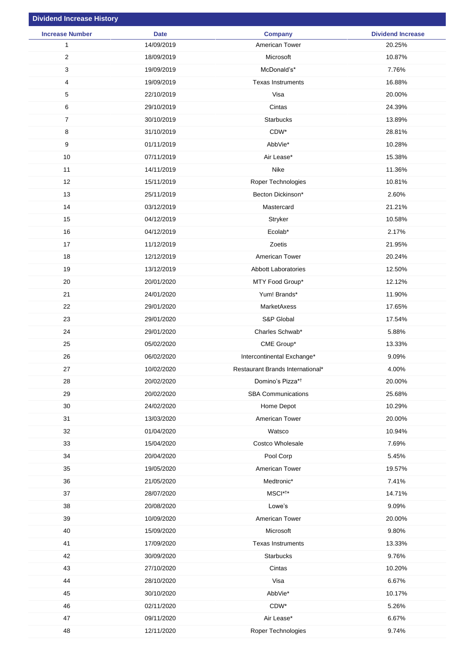| <b>Dividend Increase History</b> |             |                                  |                          |
|----------------------------------|-------------|----------------------------------|--------------------------|
| <b>Increase Number</b>           | <b>Date</b> | <b>Company</b>                   | <b>Dividend Increase</b> |
| $\mathbf{1}$                     | 14/09/2019  | American Tower                   | 20.25%                   |
| $\overline{2}$                   | 18/09/2019  | Microsoft                        | 10.87%                   |
| 3                                | 19/09/2019  | McDonald's*                      | 7.76%                    |
| 4                                | 19/09/2019  | <b>Texas Instruments</b>         | 16.88%                   |
| $\sqrt{5}$                       | 22/10/2019  | Visa                             | 20.00%                   |
| $\,6\,$                          | 29/10/2019  | Cintas                           | 24.39%                   |
| $\overline{7}$                   | 30/10/2019  | <b>Starbucks</b>                 | 13.89%                   |
| 8                                | 31/10/2019  | CDW*                             | 28.81%                   |
| $\boldsymbol{9}$                 | 01/11/2019  | AbbVie*                          | 10.28%                   |
| $10$                             | 07/11/2019  | Air Lease*                       | 15.38%                   |
| 11                               | 14/11/2019  | Nike                             | 11.36%                   |
| 12                               | 15/11/2019  | Roper Technologies               | 10.81%                   |
| 13                               | 25/11/2019  | Becton Dickinson*                | 2.60%                    |
| 14                               | 03/12/2019  | Mastercard                       | 21.21%                   |
| 15                               | 04/12/2019  | Stryker                          | 10.58%                   |
| 16                               | 04/12/2019  | Ecolab*                          | 2.17%                    |
| 17                               | 11/12/2019  | Zoetis                           | 21.95%                   |
| 18                               | 12/12/2019  | American Tower                   | 20.24%                   |
| 19                               | 13/12/2019  | Abbott Laboratories              | 12.50%                   |
| 20                               | 20/01/2020  | MTY Food Group*                  | 12.12%                   |
| 21                               | 24/01/2020  | Yum! Brands*                     | 11.90%                   |
| 22                               | 29/01/2020  | MarketAxess                      | 17.65%                   |
| 23                               | 29/01/2020  | S&P Global                       | 17.54%                   |
| 24                               | 29/01/2020  | Charles Schwab*                  | 5.88%                    |
| 25                               | 05/02/2020  | CME Group*                       | 13.33%                   |
| 26                               | 06/02/2020  | Intercontinental Exchange*       | 9.09%                    |
| 27                               | 10/02/2020  | Restaurant Brands International* | 4.00%                    |
| 28                               | 20/02/2020  | Domino's Pizza* <sup>†</sup>     | 20.00%                   |
| 29                               | 20/02/2020  | <b>SBA Communications</b>        | 25.68%                   |
| 30                               | 24/02/2020  | Home Depot                       | 10.29%                   |
| 31                               | 13/03/2020  | American Tower                   | 20.00%                   |
| 32                               | 01/04/2020  | Watsco                           | 10.94%                   |
| 33                               | 15/04/2020  | Costco Wholesale                 | 7.69%                    |
| 34                               | 20/04/2020  | Pool Corp                        | 5.45%                    |
| 35                               | 19/05/2020  | American Tower                   | 19.57%                   |
| 36                               | 21/05/2020  | Medtronic*                       | 7.41%                    |
| 37                               | 28/07/2020  | MSCI* <sup>†*</sup>              | 14.71%                   |
| 38                               | 20/08/2020  | Lowe's                           | 9.09%                    |
| 39                               | 10/09/2020  | American Tower                   | 20.00%                   |
| 40                               | 15/09/2020  | Microsoft                        | 9.80%                    |
| 41                               | 17/09/2020  | <b>Texas Instruments</b>         | 13.33%                   |
| 42                               | 30/09/2020  | Starbucks                        | 9.76%                    |
| 43                               | 27/10/2020  | Cintas                           | 10.20%                   |
| 44                               | 28/10/2020  | Visa                             | 6.67%                    |
| 45                               | 30/10/2020  | AbbVie*                          | 10.17%                   |
| 46                               | 02/11/2020  | CDW*                             | 5.26%                    |
| 47                               | 09/11/2020  | Air Lease*                       | 6.67%                    |
| 48                               | 12/11/2020  | Roper Technologies               | 9.74%                    |